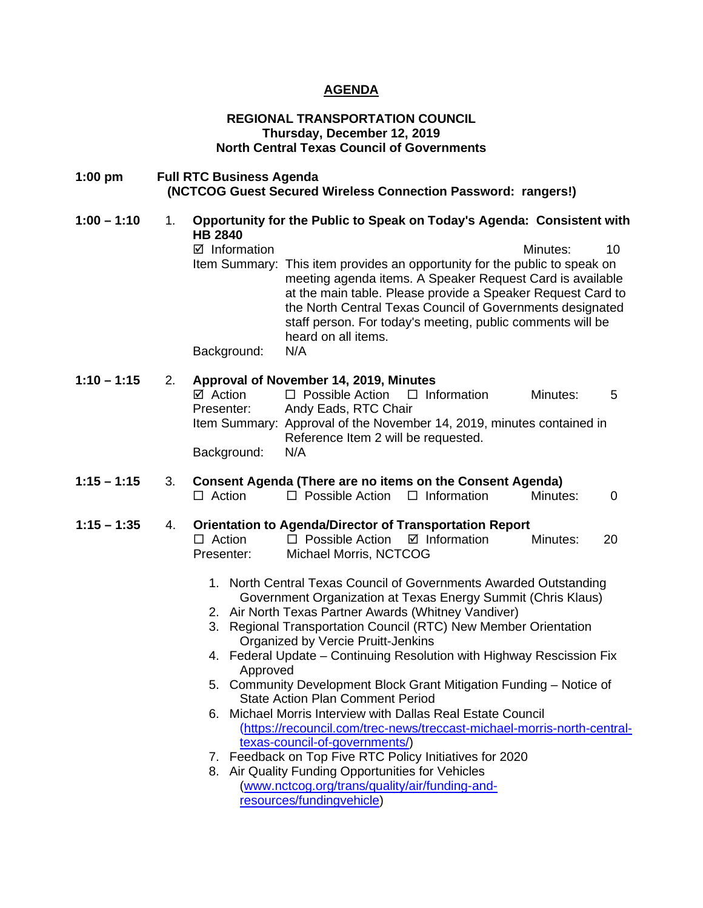# **AGENDA**

# **REGIONAL TRANSPORTATION COUNCIL Thursday, December 12, 2019 North Central Texas Council of Governments**

| $1:00$ pm     |    | <b>Full RTC Business Agenda</b><br>(NCTCOG Guest Secured Wireless Connection Password: rangers!)                                                                                                                                                                                                                                                                                                                                                                                                                                                                                                                                                                                                                                                                                                                                                                                                                                                                                                                                                                |
|---------------|----|-----------------------------------------------------------------------------------------------------------------------------------------------------------------------------------------------------------------------------------------------------------------------------------------------------------------------------------------------------------------------------------------------------------------------------------------------------------------------------------------------------------------------------------------------------------------------------------------------------------------------------------------------------------------------------------------------------------------------------------------------------------------------------------------------------------------------------------------------------------------------------------------------------------------------------------------------------------------------------------------------------------------------------------------------------------------|
| $1:00 - 1:10$ | 1. | Opportunity for the Public to Speak on Today's Agenda: Consistent with<br><b>HB 2840</b><br>$\boxtimes$ Information<br>10<br>Minutes:<br>Item Summary: This item provides an opportunity for the public to speak on<br>meeting agenda items. A Speaker Request Card is available<br>at the main table. Please provide a Speaker Request Card to<br>the North Central Texas Council of Governments designated<br>staff person. For today's meeting, public comments will be<br>heard on all items.<br>Background:<br>N/A                                                                                                                                                                                                                                                                                                                                                                                                                                                                                                                                         |
| $1:10 - 1:15$ | 2. | Approval of November 14, 2019, Minutes<br>$\Box$ Possible Action<br>$\Box$ Information<br>☑ Action<br>Minutes:<br>5<br>Andy Eads, RTC Chair<br>Presenter:<br>Item Summary: Approval of the November 14, 2019, minutes contained in<br>Reference Item 2 will be requested.<br>N/A<br>Background:                                                                                                                                                                                                                                                                                                                                                                                                                                                                                                                                                                                                                                                                                                                                                                 |
| $1:15 - 1:15$ | 3. | Consent Agenda (There are no items on the Consent Agenda)<br>$\Box$ Information<br>$\Box$ Action<br>$\Box$ Possible Action<br>Minutes:<br>$\overline{0}$                                                                                                                                                                                                                                                                                                                                                                                                                                                                                                                                                                                                                                                                                                                                                                                                                                                                                                        |
| $1:15 - 1:35$ | 4. | <b>Orientation to Agenda/Director of Transportation Report</b><br>$\Box$ Action<br>$\Box$ Possible Action<br>$\boxtimes$ Information<br>Minutes:<br>20<br>Presenter:<br>Michael Morris, NCTCOG<br>1. North Central Texas Council of Governments Awarded Outstanding<br>Government Organization at Texas Energy Summit (Chris Klaus)<br>2. Air North Texas Partner Awards (Whitney Vandiver)<br>3. Regional Transportation Council (RTC) New Member Orientation<br>Organized by Vercie Pruitt-Jenkins<br>4. Federal Update - Continuing Resolution with Highway Rescission Fix<br>Approved<br>5. Community Development Block Grant Mitigation Funding - Notice of<br><b>State Action Plan Comment Period</b><br>Michael Morris Interview with Dallas Real Estate Council<br>6.<br>(https://recouncil.com/trec-news/treccast-michael-morris-north-central-<br>texas-council-of-governments/)<br>Feedback on Top Five RTC Policy Initiatives for 2020<br>7.<br>8. Air Quality Funding Opportunities for Vehicles<br>(www.nctcog.org/trans/quality/air/funding-and- |

[resources/fundingvehicle\)](http://www.nctcog.org/trans/quality/air/funding-and-resources/fundingvehicle)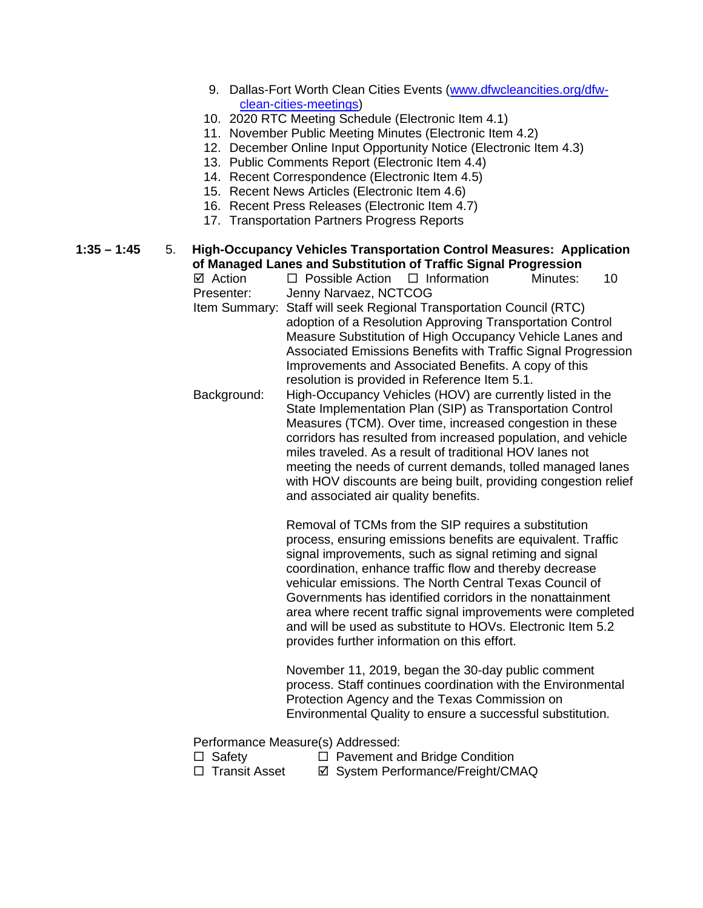- 9. Dallas-Fort Worth Clean Cities Events [\(www.dfwcleancities.org/dfw](http://www.dfwcleancities.org/dfw-clean-cities-meetings)[clean-cities-meetings\)](http://www.dfwcleancities.org/dfw-clean-cities-meetings)
- 10. 2020 RTC Meeting Schedule (Electronic Item 4.1)
- 11. November Public Meeting Minutes (Electronic Item 4.2)
- 12. December Online Input Opportunity Notice (Electronic Item 4.3)
- 13. Public Comments Report (Electronic Item 4.4)
- 14. Recent Correspondence (Electronic Item 4.5)
- 15. Recent News Articles (Electronic Item 4.6)
- 16. Recent Press Releases (Electronic Item 4.7)
- 17. Transportation Partners Progress Reports

# **1:35 – 1:45** 5. **High-Occupancy Vehicles Transportation Control Measures: Application of Managed Lanes and Substitution of Traffic Signal Progression**<br>**☑** Action □ Possible Action □ Information Minutes:

- $\Box$  Possible Action  $\Box$  Information Minutes: 10 Presenter: Jenny Narvaez, NCTCOG Item Summary: Staff will seek Regional Transportation Council (RTC) adoption of a Resolution Approving Transportation Control
	- Measure Substitution of High Occupancy Vehicle Lanes and Associated Emissions Benefits with Traffic Signal Progression Improvements and Associated Benefits. A copy of this resolution is provided in Reference Item 5.1.
- Background: High-Occupancy Vehicles (HOV) are currently listed in the State Implementation Plan (SIP) as Transportation Control Measures (TCM). Over time, increased congestion in these corridors has resulted from increased population, and vehicle miles traveled. As a result of traditional HOV lanes not meeting the needs of current demands, tolled managed lanes with HOV discounts are being built, providing congestion relief and associated air quality benefits.

Removal of TCMs from the SIP requires a substitution process, ensuring emissions benefits are equivalent. Traffic signal improvements, such as signal retiming and signal coordination, enhance traffic flow and thereby decrease vehicular emissions. The North Central Texas Council of Governments has identified corridors in the nonattainment area where recent traffic signal improvements were completed and will be used as substitute to HOVs. Electronic Item 5.2 provides further information on this effort.

November 11, 2019, began the 30-day public comment process. Staff continues coordination with the Environmental Protection Agency and the Texas Commission on Environmental Quality to ensure a successful substitution.

Performance Measure(s) Addressed:

- 
- Safety Pavement and Bridge Condition **Ø System Performance/Freight/CMAQ**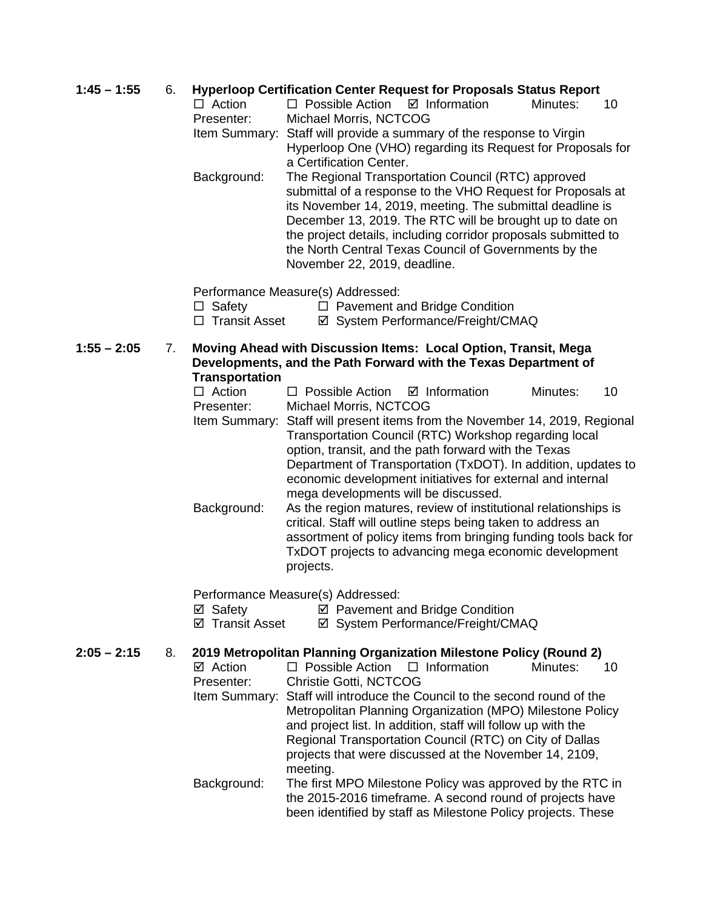# **1:45 – 1:55** 6. **Hyperloop Certification Center Request for Proposals Status Report**

| $\Box$ Action | $\Box$ Possible Action $\Box$ Information |                                                                      | Minutes: | 10 |
|---------------|-------------------------------------------|----------------------------------------------------------------------|----------|----|
| Presenter:    | Michael Morris, NCTCOG                    |                                                                      |          |    |
|               |                                           | Item Summary: Staff will provide a summary of the response to Virgin |          |    |
|               |                                           | Hyperloop One (VHO) regarding its Request for Proposals for          |          |    |
|               | a Certification Center.                   |                                                                      |          |    |

Background: The Regional Transportation Council (RTC) approved submittal of a response to the VHO Request for Proposals at its November 14, 2019, meeting. The submittal deadline is December 13, 2019. The RTC will be brought up to date on the project details, including corridor proposals submitted to the North Central Texas Council of Governments by the November 22, 2019, deadline.

Performance Measure(s) Addressed:

 $\Box$  Safety  $\Box$  Pavement and Bridge Condition

□ Transit Asset  $\Box$  System Performance/Freight/CMAQ

**1:55 – 2:05** 7. **Moving Ahead with Discussion Items: Local Option, Transit, Mega Developments, and the Path Forward with the Texas Department of Transportation**

- $\Box$  Action  $\Box$  Possible Action  $\Box$  Information Minutes: 10 Presenter: Michael Morris, NCTCOG
- Item Summary: Staff will present items from the November 14, 2019, Regional Transportation Council (RTC) Workshop regarding local option, transit, and the path forward with the Texas Department of Transportation (TxDOT). In addition, updates to economic development initiatives for external and internal mega developments will be discussed.
- Background: As the region matures, review of institutional relationships is critical. Staff will outline steps being taken to address an assortment of policy items from bringing funding tools back for TxDOT projects to advancing mega economic development projects.

Performance Measure(s) Addressed:

- $\boxtimes$  Safety  $\boxtimes$  Pavement and Bridge Condition
- ⊠ Transit Asset **I** System Performance/Freight/CMAQ

# **2:05 – 2:15** 8. **2019 Metropolitan Planning Organization Milestone Policy (Round 2)**

 $\boxtimes$  Action  $\square$  Possible Action  $\square$  Information Minutes: 10 Presenter: Christie Gotti, NCTCOG Item Summary: Staff will introduce the Council to the second round of the Metropolitan Planning Organization (MPO) Milestone Policy and project list. In addition, staff will follow up with the Regional Transportation Council (RTC) on City of Dallas projects that were discussed at the November 14, 2109, meeting. Background: The first MPO Milestone Policy was approved by the RTC in the 2015-2016 timeframe. A second round of projects have

been identified by staff as Milestone Policy projects. These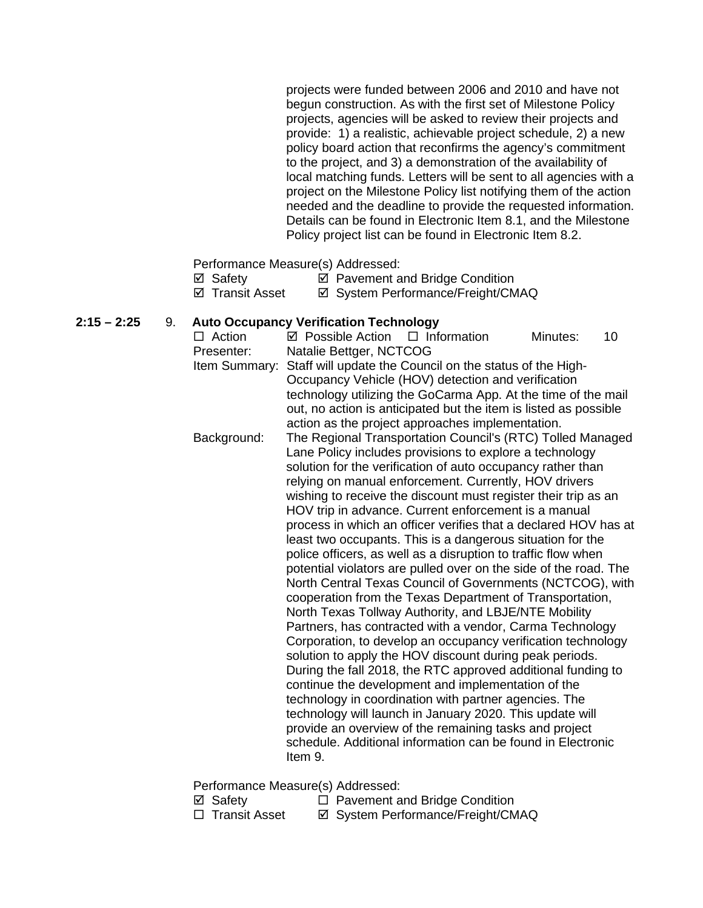projects were funded between 2006 and 2010 and have not begun construction. As with the first set of Milestone Policy projects, agencies will be asked to review their projects and provide: 1) a realistic, achievable project schedule, 2) a new policy board action that reconfirms the agency's commitment to the project, and 3) a demonstration of the availability of local matching funds. Letters will be sent to all agencies with a project on the Milestone Policy list notifying them of the action needed and the deadline to provide the requested information. Details can be found in Electronic Item 8.1, and the Milestone Policy project list can be found in Electronic Item 8.2.

Performance Measure(s) Addressed:

| ⊠ Safety |  |  |  | ☑ Pavement and Bridge Condition |  |  |  |
|----------|--|--|--|---------------------------------|--|--|--|
|          |  |  |  |                                 |  |  |  |

**Ø Transit Asset Ø System Performance/Freight/CMAQ** 

### **2:15 – 2:25** 9. **Auto Occupancy Verification Technology**

| $\Box$ Action | ☑ Possible Action                                                                                                       | $\Box$ Information | Minutes: | 10 |
|---------------|-------------------------------------------------------------------------------------------------------------------------|--------------------|----------|----|
| Presenter:    | Natalie Bettger, NCTCOG                                                                                                 |                    |          |    |
| Item Summary: | Staff will update the Council on the status of the High-                                                                |                    |          |    |
|               | Occupancy Vehicle (HOV) detection and verification                                                                      |                    |          |    |
|               | technology utilizing the GoCarma App. At the time of the mail                                                           |                    |          |    |
|               | out, no action is anticipated but the item is listed as possible                                                        |                    |          |    |
|               | action as the project approaches implementation.                                                                        |                    |          |    |
| Background:   | The Regional Transportation Council's (RTC) Tolled Managed                                                              |                    |          |    |
|               | Lane Policy includes provisions to explore a technology                                                                 |                    |          |    |
|               | solution for the verification of auto occupancy rather than                                                             |                    |          |    |
|               | relying on manual enforcement. Currently, HOV drivers                                                                   |                    |          |    |
|               | wishing to receive the discount must register their trip as an                                                          |                    |          |    |
|               | HOV trip in advance. Current enforcement is a manual                                                                    |                    |          |    |
|               | process in which an officer verifies that a declared HOV has at                                                         |                    |          |    |
|               | least two occupants. This is a dangerous situation for the                                                              |                    |          |    |
|               | police officers, as well as a disruption to traffic flow when                                                           |                    |          |    |
|               | potential violators are pulled over on the side of the road. The                                                        |                    |          |    |
|               | North Central Texas Council of Governments (NCTCOG), with                                                               |                    |          |    |
|               | cooperation from the Texas Department of Transportation,                                                                |                    |          |    |
|               | North Texas Tollway Authority, and LBJE/NTE Mobility                                                                    |                    |          |    |
|               | Partners, has contracted with a vendor, Carma Technology                                                                |                    |          |    |
|               | Corporation, to develop an occupancy verification technology<br>solution to apply the HOV discount during peak periods. |                    |          |    |
|               | During the fall 2018, the RTC approved additional funding to                                                            |                    |          |    |
|               | continue the development and implementation of the                                                                      |                    |          |    |
|               | technology in coordination with partner agencies. The                                                                   |                    |          |    |
|               | technology will launch in January 2020. This update will                                                                |                    |          |    |
|               | provide an overview of the remaining tasks and project                                                                  |                    |          |    |
|               | schedule. Additional information can be found in Electronic                                                             |                    |          |    |
|               | Item 9.                                                                                                                 |                    |          |    |
|               |                                                                                                                         |                    |          |    |

Performance Measure(s) Addressed:<br>  $\Box$  Safety  $\Box$  Pavement a

- 
- 
- <p>✓ Safety</p>\n<p>□ Pavement and Bridge Condition</p>\n<p>□ Transit Asset</p>\n<p>✓ System Performance/Freicht/CM</p> **Ø System Performance/Freight/CMAQ**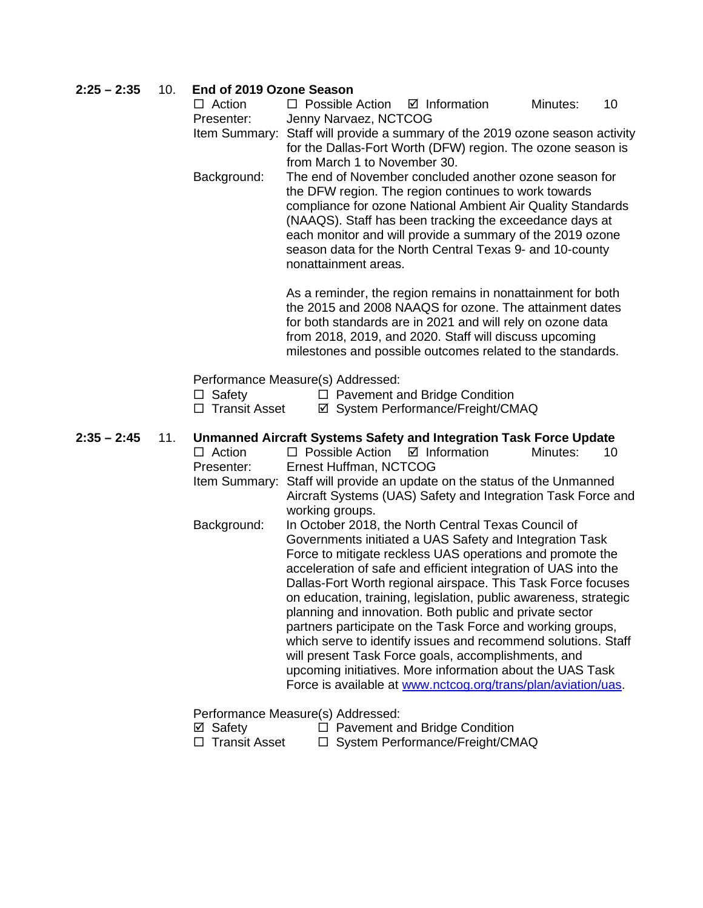| $2:25 - 2:35$ | 10. | End of 2019 Ozone Season |                                                                                                                                |          |    |
|---------------|-----|--------------------------|--------------------------------------------------------------------------------------------------------------------------------|----------|----|
|               |     | $\Box$ Action            | $\Box$ Possible Action<br>$\boxtimes$ Information                                                                              | Minutes: | 10 |
|               |     | Presenter:               | Jenny Narvaez, NCTCOG                                                                                                          |          |    |
|               |     |                          | Item Summary: Staff will provide a summary of the 2019 ozone season activity                                                   |          |    |
|               |     |                          | for the Dallas-Fort Worth (DFW) region. The ozone season is                                                                    |          |    |
|               |     | Background:              | from March 1 to November 30.<br>The end of November concluded another ozone season for                                         |          |    |
|               |     |                          | the DFW region. The region continues to work towards                                                                           |          |    |
|               |     |                          | compliance for ozone National Ambient Air Quality Standards                                                                    |          |    |
|               |     |                          | (NAAQS). Staff has been tracking the exceedance days at                                                                        |          |    |
|               |     |                          | each monitor and will provide a summary of the 2019 ozone                                                                      |          |    |
|               |     |                          | season data for the North Central Texas 9- and 10-county                                                                       |          |    |
|               |     |                          | nonattainment areas.                                                                                                           |          |    |
|               |     |                          | As a reminder, the region remains in nonattainment for both                                                                    |          |    |
|               |     |                          | the 2015 and 2008 NAAQS for ozone. The attainment dates                                                                        |          |    |
|               |     |                          | for both standards are in 2021 and will rely on ozone data                                                                     |          |    |
|               |     |                          | from 2018, 2019, and 2020. Staff will discuss upcoming                                                                         |          |    |
|               |     |                          | milestones and possible outcomes related to the standards.                                                                     |          |    |
|               |     |                          | Performance Measure(s) Addressed:                                                                                              |          |    |
|               |     | $\Box$ Safety            | $\Box$ Pavement and Bridge Condition                                                                                           |          |    |
|               |     |                          |                                                                                                                                |          |    |
|               |     | □ Transit Asset          | ☑ System Performance/Freight/CMAQ                                                                                              |          |    |
| $2:35 - 2:45$ |     |                          |                                                                                                                                |          |    |
|               | 11. | $\Box$ Action            | <b>Unmanned Aircraft Systems Safety and Integration Task Force Update</b><br>$\Box$ Possible Action<br>$\boxtimes$ Information | Minutes: | 10 |
|               |     | Presenter:               | Ernest Huffman, NCTCOG                                                                                                         |          |    |
|               |     |                          | Item Summary: Staff will provide an update on the status of the Unmanned                                                       |          |    |
|               |     |                          | Aircraft Systems (UAS) Safety and Integration Task Force and                                                                   |          |    |
|               |     |                          | working groups.                                                                                                                |          |    |
|               |     | Background:              | In October 2018, the North Central Texas Council of                                                                            |          |    |
|               |     |                          | Governments initiated a UAS Safety and Integration Task                                                                        |          |    |
|               |     |                          | Force to mitigate reckless UAS operations and promote the<br>acceleration of safe and efficient integration of UAS into the    |          |    |
|               |     |                          | Dallas-Fort Worth regional airspace. This Task Force focuses                                                                   |          |    |
|               |     |                          | on education, training, legislation, public awareness, strategic                                                               |          |    |
|               |     |                          | planning and innovation. Both public and private sector                                                                        |          |    |
|               |     |                          | partners participate on the Task Force and working groups,                                                                     |          |    |
|               |     |                          | which serve to identify issues and recommend solutions. Staff                                                                  |          |    |
|               |     |                          | will present Task Force goals, accomplishments, and                                                                            |          |    |
|               |     |                          | upcoming initiatives. More information about the UAS Task<br>Force is available at www.nctcog.org/trans/plan/aviation/uas.     |          |    |
|               |     |                          | Performance Measure(s) Addressed:                                                                                              |          |    |

Performance Measure(s) Addressed:

- **Ø** Safety **D** Pavement and Bridge Condition
- □ Transit Asset □ System Performance/Freight/CMAQ